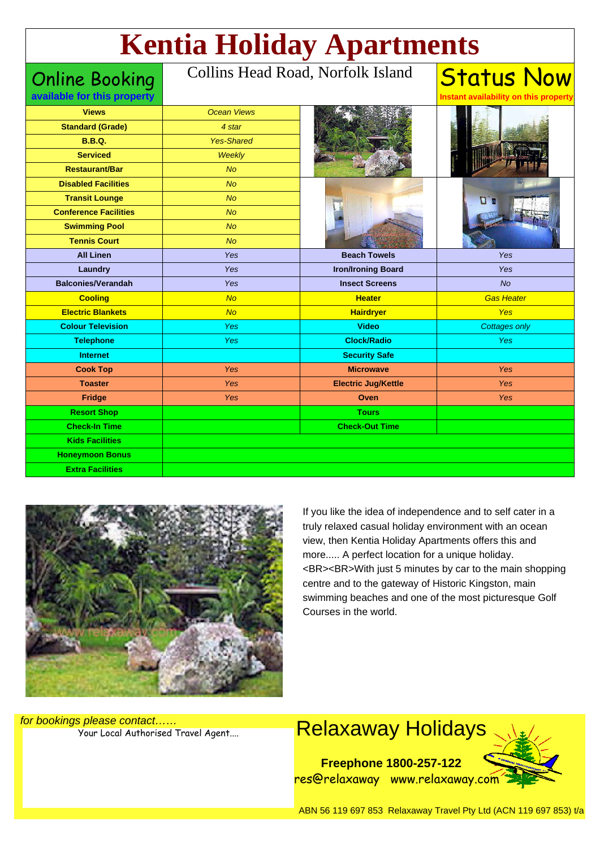# **Kentia Holiday Apartments**

Online Booking

#### Collins Head Road, Norfolk Island

| available for this property  |                    |                            | Instant availability on this property |
|------------------------------|--------------------|----------------------------|---------------------------------------|
| <b>Views</b>                 | <b>Ocean Views</b> |                            |                                       |
| <b>Standard (Grade)</b>      | 4 star             |                            |                                       |
| <b>B.B.Q.</b>                | <b>Yes-Shared</b>  |                            |                                       |
| <b>Serviced</b>              | Weekly             |                            |                                       |
| <b>Restaurant/Bar</b>        | N <sub>O</sub>     |                            |                                       |
| <b>Disabled Facilities</b>   | N <sub>O</sub>     |                            | $\Box$                                |
| <b>Transit Lounge</b>        | <b>No</b>          |                            |                                       |
| <b>Conference Facilities</b> | <b>No</b>          |                            |                                       |
| <b>Swimming Pool</b>         | <b>No</b>          |                            |                                       |
| <b>Tennis Court</b>          | N <sub>O</sub>     |                            |                                       |
| <b>All Linen</b>             | <b>Yes</b>         | <b>Beach Towels</b>        | Yes                                   |
| Laundry                      | Yes                | <b>Iron/Ironing Board</b>  | Yes                                   |
| <b>Balconies/Verandah</b>    | Yes                | <b>Insect Screens</b>      | No                                    |
| <b>Cooling</b>               | No                 | <b>Heater</b>              | <b>Gas Heater</b>                     |
| <b>Electric Blankets</b>     | No                 | <b>Hairdryer</b>           | Yes                                   |
| <b>Colour Television</b>     | Yes                | <b>Video</b>               | <b>Cottages only</b>                  |
| <b>Telephone</b>             | <b>Yes</b>         | <b>Clock/Radio</b>         | Yes                                   |
| <b>Internet</b>              |                    | <b>Security Safe</b>       |                                       |
| <b>Cook Top</b>              | Yes                | <b>Microwave</b>           | Yes                                   |
| <b>Toaster</b>               | Yes                | <b>Electric Jug/Kettle</b> | Yes                                   |
| Fridge                       | Yes                | Oven                       | Yes                                   |
| <b>Resort Shop</b>           |                    | <b>Tours</b>               |                                       |
| <b>Check-In Time</b>         |                    | <b>Check-Out Time</b>      |                                       |
| <b>Kids Facilities</b>       |                    |                            |                                       |
| <b>Honeymoon Bonus</b>       |                    |                            |                                       |
| <b>Extra Facilities</b>      |                    |                            |                                       |



If you like the idea of independence and to self cater in a truly relaxed casual holiday environment with an ocean view, then Kentia Holiday Apartments offers this and more..... A perfect location for a unique holiday. <BR><BR>With just 5 minutes by car to the main shopping centre and to the gateway of Historic Kingston, main swimming beaches and one of the most picturesque Golf Courses in the world.

Status Now

for bookings please contact……